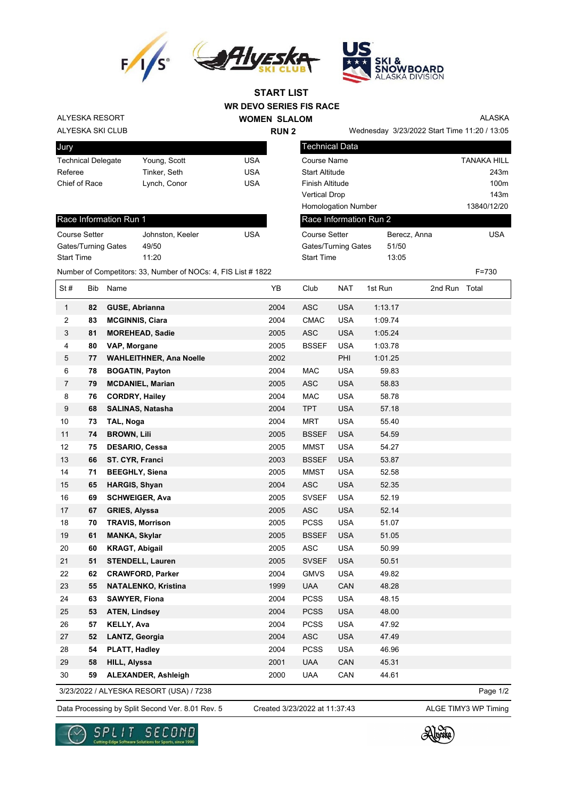



**WR DEVO SERIES FIS RACE WOMEN SLALOM START LIST**

**RUN 2**

ALYESKA RESORT

## ALYESKA SKI CLUB

Jury Technical Delegate Young, Scott VSA Referee Tinker, Seth USA Chief of Race Lynch, Conor Chief of Race Lynch, Conor

| UΜ                    |                           |  |
|-----------------------|---------------------------|--|
|                       | Wednesday 3/23/2022 Start |  |
| <b>Technical Data</b> |                           |  |

Start Time 13:05

ALASKA

| Wednesday  3/23/2022 Start Time 11:20 / 13:05 |  |  |
|-----------------------------------------------|--|--|
|                                               |  |  |

| Course Name                |              | <b>TANAKA HILL</b> |
|----------------------------|--------------|--------------------|
| <b>Start Altitude</b>      |              | 243m               |
| Finish Altitude            |              | 100m               |
| <b>Vertical Drop</b>       |              | 143m               |
| <b>Homologation Number</b> |              | 13840/12/20        |
| Race Information Run 2     |              |                    |
| <b>Course Setter</b>       | Berecz, Anna | <b>USA</b>         |
| Gates/Turning Gates        | 51/50        |                    |
|                            |              |                    |

## Race Information Run 1

| <b>Course Setter</b> | Johnston, Keeler | USA |
|----------------------|------------------|-----|
| Gates/Turning Gates  | 49/50            |     |
| <b>Start Time</b>    | 11.20            |     |

Number of Competitors: 33, Number of NOCs: 4, FIS List # 1822 F=730

| St#            | Bib | Name                                    | YB   | Club         | <b>NAT</b> | 1st Run | 2nd Run Total |          |
|----------------|-----|-----------------------------------------|------|--------------|------------|---------|---------------|----------|
| $\mathbf{1}$   | 82  | <b>GUSE, Abrianna</b>                   | 2004 | <b>ASC</b>   | <b>USA</b> | 1:13.17 |               |          |
| $\overline{2}$ | 83  | <b>MCGINNIS, Ciara</b>                  | 2004 | <b>CMAC</b>  | <b>USA</b> | 1:09.74 |               |          |
| 3              | 81  | <b>MOREHEAD, Sadie</b>                  | 2005 | <b>ASC</b>   | <b>USA</b> | 1:05.24 |               |          |
| $\overline{4}$ | 80  | VAP, Morgane                            | 2005 | <b>BSSEF</b> | <b>USA</b> | 1:03.78 |               |          |
| $\,$ 5 $\,$    | 77  | <b>WAHLEITHNER, Ana Noelle</b>          | 2002 |              | PHI        | 1:01.25 |               |          |
| 6              | 78  | <b>BOGATIN, Payton</b>                  | 2004 | <b>MAC</b>   | <b>USA</b> | 59.83   |               |          |
| $\overline{7}$ | 79  | <b>MCDANIEL, Marian</b>                 | 2005 | ASC          | <b>USA</b> | 58.83   |               |          |
| 8              | 76  | <b>CORDRY, Hailey</b>                   | 2004 | <b>MAC</b>   | <b>USA</b> | 58.78   |               |          |
| 9              | 68  | SALINAS, Natasha                        | 2004 | <b>TPT</b>   | <b>USA</b> | 57.18   |               |          |
| 10             | 73  | TAL, Noga                               | 2004 | MRT          | <b>USA</b> | 55.40   |               |          |
| 11             | 74  | <b>BROWN, Lili</b>                      | 2005 | <b>BSSEF</b> | <b>USA</b> | 54.59   |               |          |
| 12             | 75  | <b>DESARIO, Cessa</b>                   | 2005 | <b>MMST</b>  | <b>USA</b> | 54.27   |               |          |
| 13             | 66  | ST. CYR, Franci                         | 2003 | <b>BSSEF</b> | <b>USA</b> | 53.87   |               |          |
| 14             | 71  | <b>BEEGHLY, Siena</b>                   | 2005 | <b>MMST</b>  | <b>USA</b> | 52.58   |               |          |
| 15             | 65  | <b>HARGIS, Shyan</b>                    | 2004 | <b>ASC</b>   | <b>USA</b> | 52.35   |               |          |
| 16             | 69  | <b>SCHWEIGER, Ava</b>                   | 2005 | <b>SVSEF</b> | <b>USA</b> | 52.19   |               |          |
| 17             | 67  | <b>GRIES, Alyssa</b>                    | 2005 | <b>ASC</b>   | <b>USA</b> | 52.14   |               |          |
| 18             | 70  | <b>TRAVIS, Morrison</b>                 | 2005 | <b>PCSS</b>  | <b>USA</b> | 51.07   |               |          |
| 19             | 61  | <b>MANKA, Skylar</b>                    | 2005 | <b>BSSEF</b> | <b>USA</b> | 51.05   |               |          |
| 20             | 60  | <b>KRAGT, Abigail</b>                   | 2005 | <b>ASC</b>   | <b>USA</b> | 50.99   |               |          |
| 21             | 51  | <b>STENDELL, Lauren</b>                 | 2005 | <b>SVSEF</b> | <b>USA</b> | 50.51   |               |          |
| 22             | 62  | <b>CRAWFORD, Parker</b>                 | 2004 | <b>GMVS</b>  | <b>USA</b> | 49.82   |               |          |
| 23             | 55  | <b>NATALENKO, Kristina</b>              | 1999 | <b>UAA</b>   | CAN        | 48.28   |               |          |
| 24             | 63  | <b>SAWYER, Fiona</b>                    | 2004 | <b>PCSS</b>  | <b>USA</b> | 48.15   |               |          |
| 25             | 53  | <b>ATEN, Lindsey</b>                    | 2004 | <b>PCSS</b>  | <b>USA</b> | 48.00   |               |          |
| 26             | 57  | <b>KELLY, Ava</b>                       | 2004 | <b>PCSS</b>  | <b>USA</b> | 47.92   |               |          |
| 27             | 52  | LANTZ, Georgia                          | 2004 | <b>ASC</b>   | <b>USA</b> | 47.49   |               |          |
| 28             | 54  | <b>PLATT, Hadley</b>                    | 2004 | <b>PCSS</b>  | <b>USA</b> | 46.96   |               |          |
| 29             | 58  | HILL, Alyssa                            | 2001 | <b>UAA</b>   | CAN        | 45.31   |               |          |
| 30             | 59  | <b>ALEXANDER, Ashleigh</b>              | 2000 | <b>UAA</b>   | CAN        | 44.61   |               |          |
|                |     | 3/23/2022 / ALYESKA RESORT (USA) / 7238 |      |              |            |         |               | Page 1/2 |

3/23/2022 / ALYESKA RESORT (USA) / 7238

Data Processing by Split Second Ver. 8.01 Rev. 5 Created 3/23/2022 at 11:37:43 ALGE TIMY3 WP Timing

Created 3/23/2022 at 11:37:43